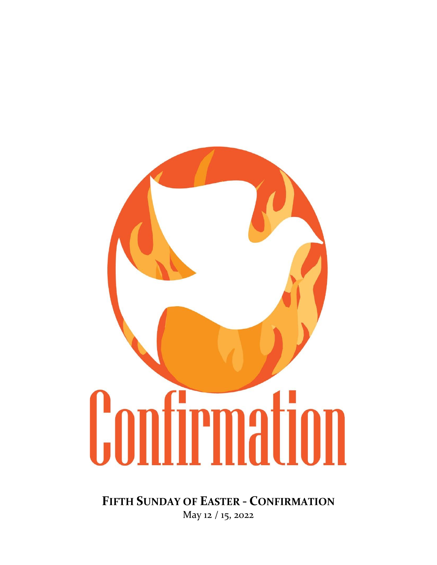

**FIFTH SUNDAY OF EASTER - CONFIRMATION** May 12 / 15, 2022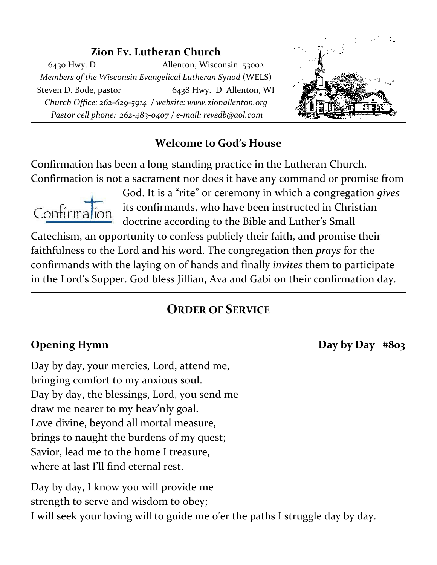# **Zion Ev. Lutheran Church**

6430 Hwy. D Allenton, Wisconsin 53002 *Members of the Wisconsin Evangelical Lutheran Synod* (WELS) Steven D. Bode, pastor 6438 Hwy. D Allenton, WI *Church Office: 262-629-5914 / website: www.zionallenton.org Pastor cell phone: 262-483-0407 / e-mail: revsdb@aol.com*



### **Welcome to God's House**

Confirmation has been a long-standing practice in the Lutheran Church. Confirmation is not a sacrament nor does it have any command or promise from



God. It is a "rite" or ceremony in which a congregation *gives* its confirmands, who have been instructed in Christian doctrine according to the Bible and Luther's Small

Catechism, an opportunity to confess publicly their faith, and promise their faithfulness to the Lord and his word. The congregation then *prays* for the confirmands with the laying on of hands and finally *invites* them to participate in the Lord's Supper. God bless Jillian, Ava and Gabi on their confirmation day.

# **ORDER OF SERVICE**

**Opening Hymn** Day by Day #803

Day by day, your mercies, Lord, attend me, bringing comfort to my anxious soul. Day by day, the blessings, Lord, you send me draw me nearer to my heav'nly goal. Love divine, beyond all mortal measure, brings to naught the burdens of my quest; Savior, lead me to the home I treasure, where at last I'll find eternal rest.

Day by day, I know you will provide me strength to serve and wisdom to obey; I will seek your loving will to guide me o'er the paths I struggle day by day.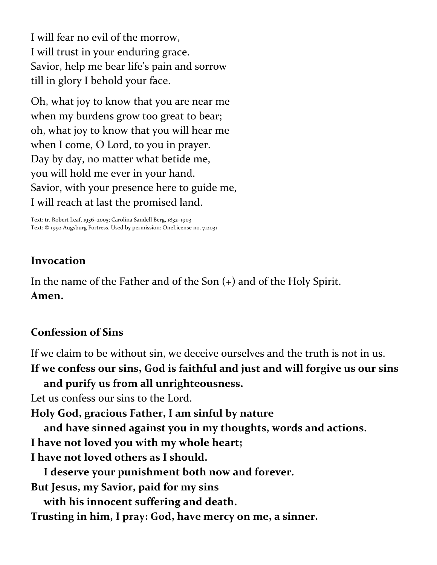I will fear no evil of the morrow, I will trust in your enduring grace. Savior, help me bear life's pain and sorrow till in glory I behold your face.

Oh, what joy to know that you are near me when my burdens grow too great to bear; oh, what joy to know that you will hear me when I come, O Lord, to you in prayer. Day by day, no matter what betide me, you will hold me ever in your hand. Savior, with your presence here to guide me, I will reach at last the promised land.

Text: tr. Robert Leaf, 1936–2005; Carolina Sandell Berg, 1832–1903 Text: © 1992 Augsburg Fortress. Used by permission: OneLicense no. 712031

#### **Invocation**

In the name of the Father and of the Son (+) and of the Holy Spirit. **Amen.**

### **Confession of Sins**

If we claim to be without sin, we deceive ourselves and the truth is not in us.

**If we confess our sins, God is faithful and just and will forgive us our sins and purify us from all unrighteousness.**

Let us confess our sins to the Lord.

**Holy God, gracious Father, I am sinful by nature**

**and have sinned against you in my thoughts, words and actions.**

- **I have not loved you with my whole heart;**
- **I have not loved others as I should.**

**I deserve your punishment both now and forever.**

**But Jesus, my Savior, paid for my sins**

**with his innocent suffering and death.**

**Trusting in him, I pray: God, have mercy on me, a sinner.**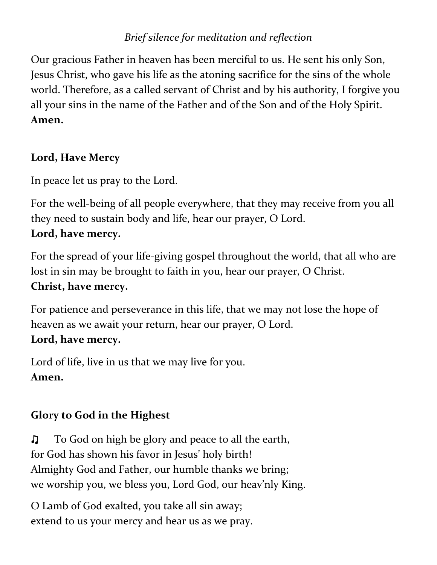# *Brief silence for meditation and reflection*

Our gracious Father in heaven has been merciful to us. He sent his only Son, Jesus Christ, who gave his life as the atoning sacrifice for the sins of the whole world. Therefore, as a called servant of Christ and by his authority, I forgive you all your sins in the name of the Father and of the Son and of the Holy Spirit. **Amen.** 

# **Lord, Have Mercy**

In peace let us pray to the Lord.

For the well-being of all people everywhere, that they may receive from you all they need to sustain body and life, hear our prayer, O Lord. **Lord, have mercy.**

For the spread of your life-giving gospel throughout the world, that all who are lost in sin may be brought to faith in you, hear our prayer, O Christ. **Christ, have mercy.**

For patience and perseverance in this life, that we may not lose the hope of heaven as we await your return, hear our prayer, O Lord. **Lord, have mercy.**

Lord of life, live in us that we may live for you. **Amen.**

# **Glory to God in the Highest**

♫To God on high be glory and peace to all the earth, for God has shown his favor in Jesus' holy birth! Almighty God and Father, our humble thanks we bring; we worship you, we bless you, Lord God, our heav'nly King.

O Lamb of God exalted, you take all sin away; extend to us your mercy and hear us as we pray.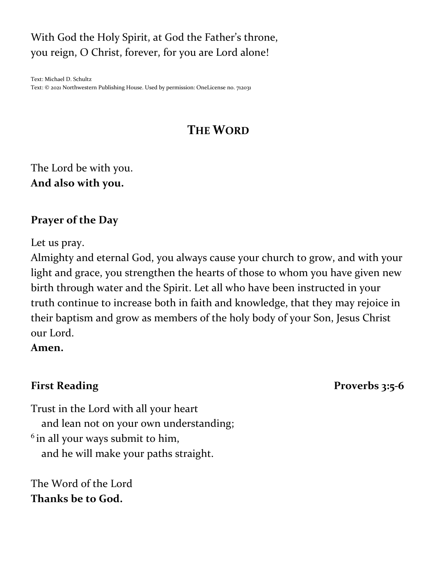# With God the Holy Spirit, at God the Father's throne, you reign, O Christ, forever, for you are Lord alone!

Text: Michael D. Schultz Text: © 2021 Northwestern Publishing House. Used by permission: OneLicense no. 712031

# **THE WORD**

The Lord be with you. **And also with you.**

# **Prayer of the Day**

Let us pray.

Almighty and eternal God, you always cause your church to grow, and with your light and grace, you strengthen the hearts of those to whom you have given new birth through water and the Spirit. Let all who have been instructed in your truth continue to increase both in faith and knowledge, that they may rejoice in their baptism and grow as members of the holy body of your Son, Jesus Christ our Lord.

#### **Amen.**

First Reading **Proverbs** 3:5-6

Trust in the Lord with all your heart and lean not on your own understanding; <sup>6</sup> in all your ways submit to him, and he will make your paths straight.

The Word of the Lord **Thanks be to God.**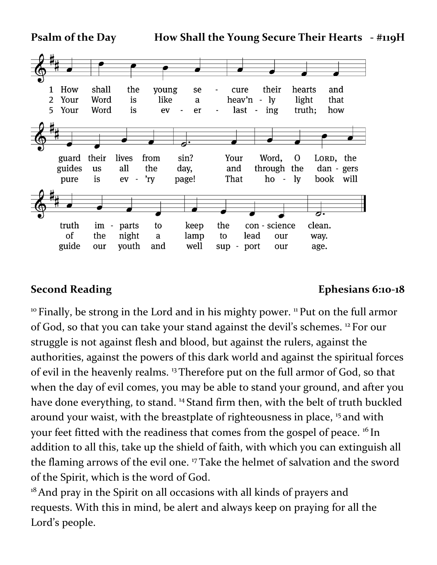

#### **Second Reading Ephesians 6:10-18**

<sup>10</sup> Finally, be strong in the Lord and in his mighty power. <sup>11</sup> Put on the full armor of God, so that you can take your stand against the devil's schemes. <sup>12</sup> For our struggle is not against flesh and blood, but against the rulers, against the authorities, against the powers of this dark world and against the spiritual forces of evil in the heavenly realms. <sup>13</sup> Therefore put on the full armor of God, so that when the day of evil comes, you may be able to stand your ground, and after you have done everything, to stand.<sup>14</sup> Stand firm then, with the belt of truth buckled around your waist, with the breastplate of righteousness in place, <sup>15</sup> and with your feet fitted with the readiness that comes from the gospel of peace. <sup>16</sup> In addition to all this, take up the shield of faith, with which you can extinguish all the flaming arrows of the evil one. <sup>17</sup> Take the helmet of salvation and the sword of the Spirit, which is the word of God.

 $18$ And pray in the Spirit on all occasions with all kinds of prayers and requests. With this in mind, be alert and always keep on praying for all the Lord's people.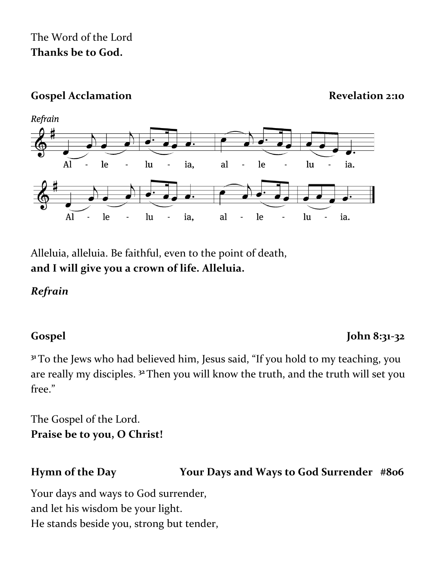# The Word of the Lord **Thanks be to God.**

# Gospel Acclamation **Revelation Revelation** 2:10

 $\overline{\phantom{a}}$ 

le

le



 $AI$ 

 $A<sub>1</sub>$ 

Refrain



ia.

ia.

lu

 $\ln$ 

 $\overline{\phantom{a}}$ 

Alleluia, alleluia. Be faithful, even to the point of death, **and I will give you a crown of life. Alleluia.**

 $\overline{a}$ 

lu

 $\ln$ 

# *Refrain*

# **Gospel John 8:31-32**

**<sup>31</sup>** To the Jews who had believed him, Jesus said, "If you hold to my teaching, you are really my disciples. **<sup>32</sup>**Then you will know the truth, and the truth will set you free."

al

 $a<sup>1</sup>$ 

 $\overline{a}$ 

le

le

 $\overline{\phantom{a}}$ 

ia,

ia.

The Gospel of the Lord. **Praise be to you, O Christ!**

# **Hymn of the Day Your Days and Ways to God Surrender #806**

Your days and ways to God surrender, and let his wisdom be your light. He stands beside you, strong but tender,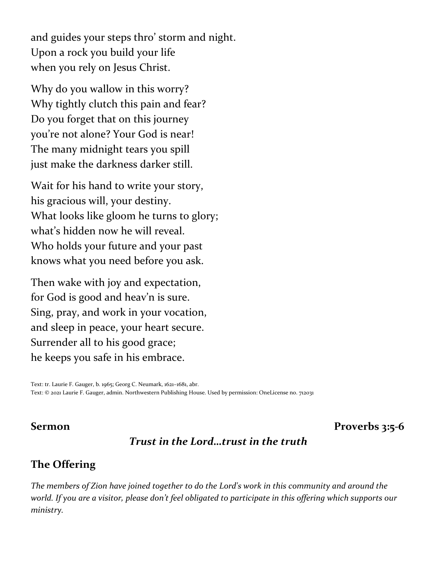and guides your steps thro' storm and night. Upon a rock you build your life when you rely on Jesus Christ.

Why do you wallow in this worry? Why tightly clutch this pain and fear? Do you forget that on this journey you're not alone? Your God is near! The many midnight tears you spill just make the darkness darker still.

Wait for his hand to write your story, his gracious will, your destiny. What looks like gloom he turns to glory; what's hidden now he will reveal. Who holds your future and your past knows what you need before you ask.

Then wake with joy and expectation, for God is good and heav'n is sure. Sing, pray, and work in your vocation, and sleep in peace, your heart secure. Surrender all to his good grace; he keeps you safe in his embrace.

Text: tr. Laurie F. Gauger, b. 1965; Georg C. Neumark, 1621–1681, abr. Text: © 2021 Laurie F. Gauger, admin. Northwestern Publishing House. Used by permission: OneLicense no. 712031

#### **Sermon Proverbs 3:5-6**

### *Trust in the Lord…trust in the truth*

#### **The Offering**

*The members of Zion have joined together to do the Lord's work in this community and around the world. If you are a visitor, please don't feel obligated to participate in this offering which supports our ministry.*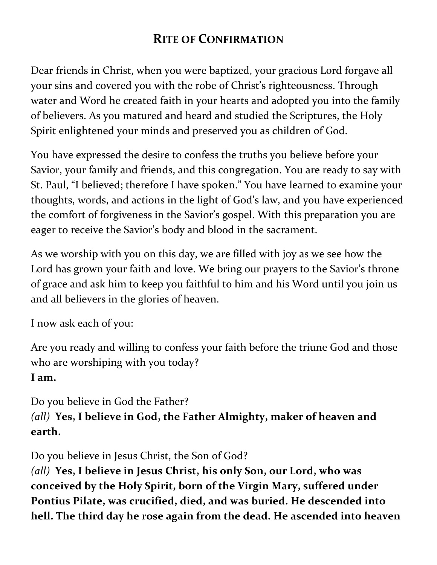# **RITE OF CONFIRMATION**

Dear friends in Christ, when you were baptized, your gracious Lord forgave all your sins and covered you with the robe of Christ's righteousness. Through water and Word he created faith in your hearts and adopted you into the family of believers. As you matured and heard and studied the Scriptures, the Holy Spirit enlightened your minds and preserved you as children of God.

You have expressed the desire to confess the truths you believe before your Savior, your family and friends, and this congregation. You are ready to say with St. Paul, "I believed; therefore I have spoken." You have learned to examine your thoughts, words, and actions in the light of God's law, and you have experienced the comfort of forgiveness in the Savior's gospel. With this preparation you are eager to receive the Savior's body and blood in the sacrament.

As we worship with you on this day, we are filled with joy as we see how the Lord has grown your faith and love. We bring our prayers to the Savior's throne of grace and ask him to keep you faithful to him and his Word until you join us and all believers in the glories of heaven.

I now ask each of you:

Are you ready and willing to confess your faith before the triune God and those who are worshiping with you today? **I am.**

Do you believe in God the Father?

*(all)* **Yes, I believe in God, the Father Almighty, maker of heaven and earth.** 

Do you believe in Jesus Christ, the Son of God?

*(all)* **Yes, I believe in Jesus Christ, his only Son, our Lord, who was conceived by the Holy Spirit, born of the Virgin Mary, suffered under Pontius Pilate, was crucified, died, and was buried. He descended into hell. The third day he rose again from the dead. He ascended into heaven**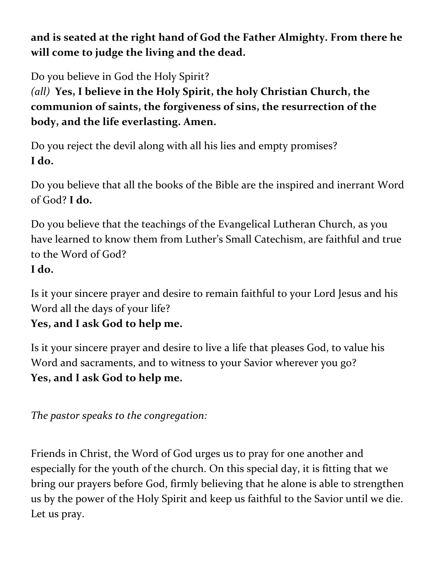**and is seated at the right hand of God the Father Almighty. From there he will come to judge the living and the dead.** 

Do you believe in God the Holy Spirit?

*(all)* **Yes, I believe in the Holy Spirit, the holy Christian Church, the communion of saints, the forgiveness of sins, the resurrection of the body, and the life everlasting. Amen.**

Do you reject the devil along with all his lies and empty promises? **I do.** 

Do you believe that all the books of the Bible are the inspired and inerrant Word of God? **I do.**

Do you believe that the teachings of the Evangelical Lutheran Church, as you have learned to know them from Luther's Small Catechism, are faithful and true to the Word of God? **I do.**

Is it your sincere prayer and desire to remain faithful to your Lord Jesus and his Word all the days of your life?

**Yes, and I ask God to help me.**

Is it your sincere prayer and desire to live a life that pleases God, to value his Word and sacraments, and to witness to your Savior wherever you go? **Yes, and I ask God to help me.** 

*The pastor speaks to the congregation:*

Friends in Christ, the Word of God urges us to pray for one another and especially for the youth of the church. On this special day, it is fitting that we bring our prayers before God, firmly believing that he alone is able to strengthen us by the power of the Holy Spirit and keep us faithful to the Savior until we die. Let us pray.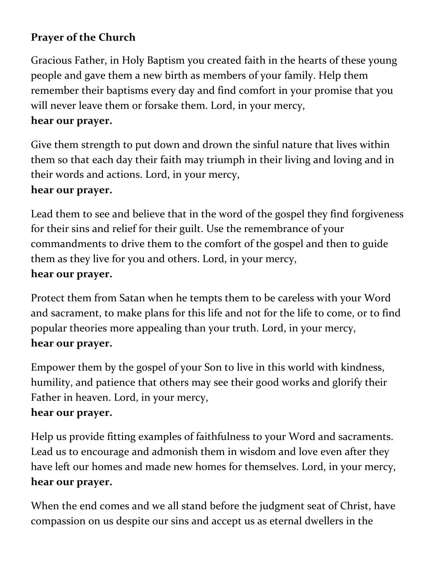# **Prayer of the Church**

Gracious Father, in Holy Baptism you created faith in the hearts of these young people and gave them a new birth as members of your family. Help them remember their baptisms every day and find comfort in your promise that you will never leave them or forsake them. Lord, in your mercy,

### **hear our prayer.**

Give them strength to put down and drown the sinful nature that lives within them so that each day their faith may triumph in their living and loving and in their words and actions. Lord, in your mercy,

### **hear our prayer.**

Lead them to see and believe that in the word of the gospel they find forgiveness for their sins and relief for their guilt. Use the remembrance of your commandments to drive them to the comfort of the gospel and then to guide them as they live for you and others. Lord, in your mercy,

### **hear our prayer.**

Protect them from Satan when he tempts them to be careless with your Word and sacrament, to make plans for this life and not for the life to come, or to find popular theories more appealing than your truth. Lord, in your mercy, **hear our prayer.**

Empower them by the gospel of your Son to live in this world with kindness, humility, and patience that others may see their good works and glorify their Father in heaven. Lord, in your mercy,

### **hear our prayer.**

Help us provide fitting examples of faithfulness to your Word and sacraments. Lead us to encourage and admonish them in wisdom and love even after they have left our homes and made new homes for themselves. Lord, in your mercy, **hear our prayer.**

When the end comes and we all stand before the judgment seat of Christ, have compassion on us despite our sins and accept us as eternal dwellers in the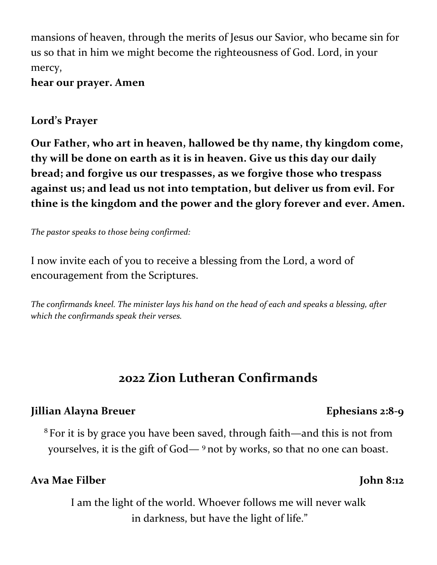mansions of heaven, through the merits of Jesus our Savior, who became sin for us so that in him we might become the righteousness of God. Lord, in your mercy,

**hear our prayer. Amen**

### **Lord's Prayer**

**Our Father, who art in heaven, hallowed be thy name, thy kingdom come, thy will be done on earth as it is in heaven. Give us this day our daily bread; and forgive us our trespasses, as we forgive those who trespass against us; and lead us not into temptation, but deliver us from evil. For thine is the kingdom and the power and the glory forever and ever. Amen.**

*The pastor speaks to those being confirmed:*

I now invite each of you to receive a blessing from the Lord, a word of encouragement from the Scriptures.

*The confirmands kneel. The minister lays his hand on the head of each and speaks a blessing, after which the confirmands speak their verses.*

# **2022 Zion Lutheran Confirmands**

# **Jillian Alayna Breuer Ephesians 2:8-9**

<sup>8</sup> For it is by grace you have been saved, through faith—and this is not from yourselves, it is the gift of God— <sup>9</sup> not by works, so that no one can boast.

# Ava Mae Filber John 8:12

I am the light of the world. Whoever follows me will never walk in darkness, but have the light of life."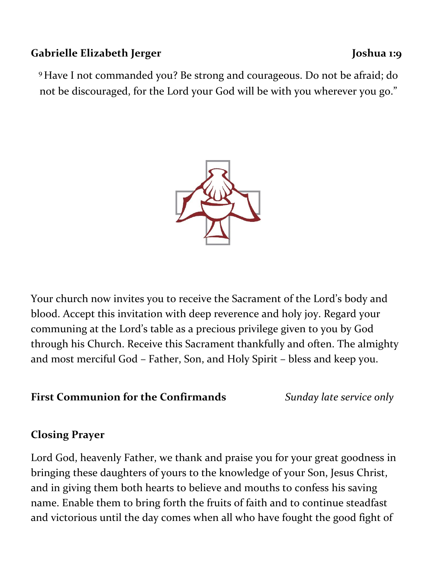### Gabrielle Elizabeth Jerger **Joshua 1:9**

# <sup>9</sup> Have I not commanded you? Be strong and courageous. Do not be afraid; do not be discouraged, for the Lord your God will be with you wherever you go."



Your church now invites you to receive the Sacrament of the Lord's body and blood. Accept this invitation with deep reverence and holy joy. Regard your communing at the Lord's table as a precious privilege given to you by God through his Church. Receive this Sacrament thankfully and often. The almighty and most merciful God – Father, Son, and Holy Spirit – bless and keep you.

# **First Communion for the Confirmands** *Sunday late service only*

# **Closing Prayer**

Lord God, heavenly Father, we thank and praise you for your great goodness in bringing these daughters of yours to the knowledge of your Son, Jesus Christ, and in giving them both hearts to believe and mouths to confess his saving name. Enable them to bring forth the fruits of faith and to continue steadfast and victorious until the day comes when all who have fought the good fight of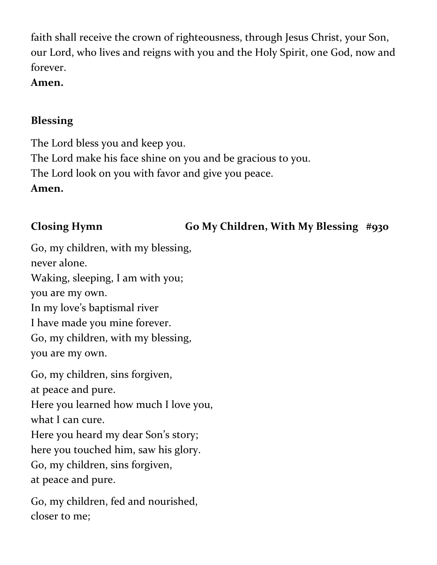faith shall receive the crown of righteousness, through Jesus Christ, your Son, our Lord, who lives and reigns with you and the Holy Spirit, one God, now and forever.

**Amen.**

### **Blessing**

The Lord bless you and keep you. The Lord make his face shine on you and be gracious to you. The Lord look on you with favor and give you peace. **Amen.**

# **Closing Hymn Go My Children, With My Blessing #930**

Go, my children, with my blessing, never alone. Waking, sleeping, I am with you; you are my own. In my love's baptismal river I have made you mine forever. Go, my children, with my blessing, you are my own. Go, my children, sins forgiven, at peace and pure. Here you learned how much I love you, what I can cure. Here you heard my dear Son's story; here you touched him, saw his glory. Go, my children, sins forgiven, at peace and pure. Go, my children, fed and nourished,

closer to me;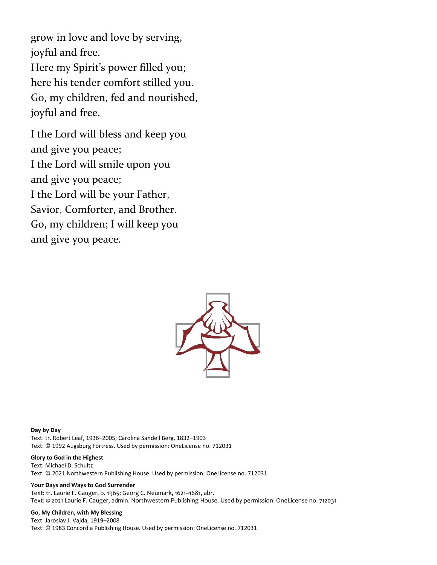grow in love and love by serving, joyful and free. Here my Spirit's power filled you; here his tender comfort stilled you. Go, my children, fed and nourished, joyful and free.

I the Lord will bless and keep you and give you peace; I the Lord will smile upon you and give you peace; I the Lord will be your Father, Savior, Comforter, and Brother. Go, my children; I will keep you and give you peace.



**Day by Day** Text: tr. Robert Leaf, 1936–2005; Carolina Sandell Berg, 1832–1903 Text: © 1992 Augsburg Fortress. Used by permission: OneLicense no. 712031

#### **Glory to God in the Highest**

Text: Michael D. Schultz Text: © 2021 Northwestern Publishing House. Used by permission: OneLicense no. 712031

#### **Your Days and Ways to God Surrender**

Text: tr. Laurie F. Gauger, b. 1965; Georg C. Neumark, 1621–1681, abr. Text: © 2021 Laurie F. Gauger, admin. Northwestern Publishing House. Used by permission: OneLicense no. 712031

#### **Go, My Children, with My Blessing**

Text: Jaroslav J. Vajda, 1919–2008 Text: © 1983 Concordia Publishing House. Used by permission: OneLicense no. 712031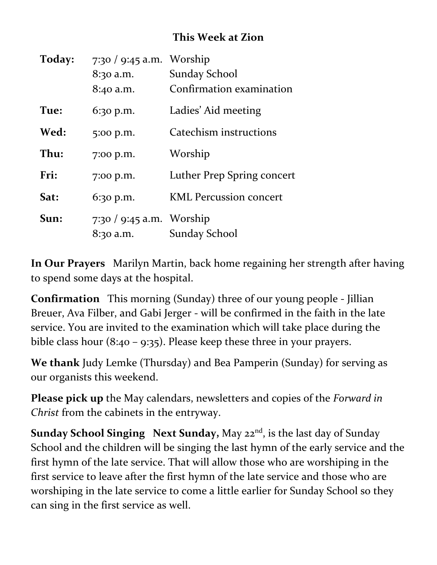# **This Week at Zion**

| Today: | $7:30 / 9:45$ a.m. Worship |                               |
|--------|----------------------------|-------------------------------|
|        | 8:30 a.m.                  | <b>Sunday School</b>          |
|        | 8:40 a.m.                  | Confirmation examination      |
| Tue:   | $6:30$ p.m.                | Ladies' Aid meeting           |
| Wed:   | 5:00 p.m.                  | Catechism instructions        |
| Thu:   | 7:00 p.m.                  | Worship                       |
| Fri:   | 7:00 p.m.                  | Luther Prep Spring concert    |
| Sat:   | $6:30$ p.m.                | <b>KML Percussion concert</b> |
| Sun:   | 7:30 / 9:45 a.m. Worship   |                               |
|        | 8:30 a.m.                  | Sunday School                 |

**In Our Prayers** Marilyn Martin, back home regaining her strength after having to spend some days at the hospital.

**Confirmation** This morning (Sunday) three of our young people - Jillian Breuer, Ava Filber, and Gabi Jerger - will be confirmed in the faith in the late service. You are invited to the examination which will take place during the bible class hour (8:40 – 9:35). Please keep these three in your prayers.

**We thank** Judy Lemke (Thursday) and Bea Pamperin (Sunday) for serving as our organists this weekend.

**Please pick up** the May calendars, newsletters and copies of the *Forward in Christ* from the cabinets in the entryway.

**Sunday School Singing Next Sunday,** May 22<sup>nd</sup>, is the last day of Sunday School and the children will be singing the last hymn of the early service and the first hymn of the late service. That will allow those who are worshiping in the first service to leave after the first hymn of the late service and those who are worshiping in the late service to come a little earlier for Sunday School so they can sing in the first service as well.